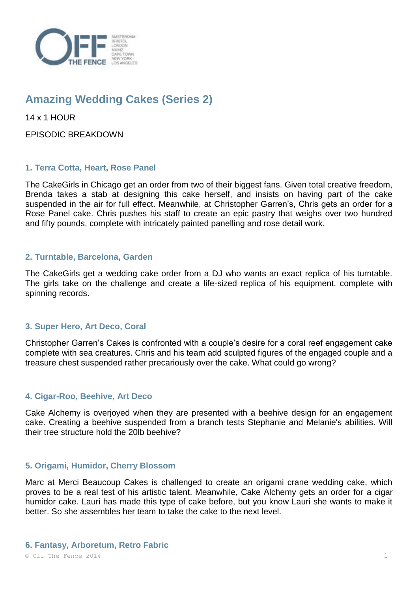

# **Amazing Wedding Cakes (Series 2)**

14 x 1 HOUR

EPISODIC BREAKDOWN

# **1. Terra Cotta, Heart, Rose Panel**

The CakeGirls in Chicago get an order from two of their biggest fans. Given total creative freedom, Brenda takes a stab at designing this cake herself, and insists on having part of the cake suspended in the air for full effect. Meanwhile, at Christopher Garren's, Chris gets an order for a Rose Panel cake. Chris pushes his staff to create an epic pastry that weighs over two hundred and fifty pounds, complete with intricately painted panelling and rose detail work.

# **2. Turntable, Barcelona, Garden**

The CakeGirls get a wedding cake order from a DJ who wants an exact replica of his turntable. The girls take on the challenge and create a life-sized replica of his equipment, complete with spinning records.

# **3. Super Hero, Art Deco, Coral**

Christopher Garren's Cakes is confronted with a couple's desire for a coral reef engagement cake complete with sea creatures. Chris and his team add sculpted figures of the engaged couple and a treasure chest suspended rather precariously over the cake. What could go wrong?

#### **4. Cigar-Roo, Beehive, Art Deco**

Cake Alchemy is overjoyed when they are presented with a beehive design for an engagement cake. Creating a beehive suspended from a branch tests Stephanie and Melanie's abilities. Will their tree structure hold the 20lb beehive?

#### **5. Origami, Humidor, Cherry Blossom**

Marc at Merci Beaucoup Cakes is challenged to create an origami crane wedding cake, which proves to be a real test of his artistic talent. Meanwhile, Cake Alchemy gets an order for a cigar humidor cake. Lauri has made this type of cake before, but you know Lauri she wants to make it better. So she assembles her team to take the cake to the next level.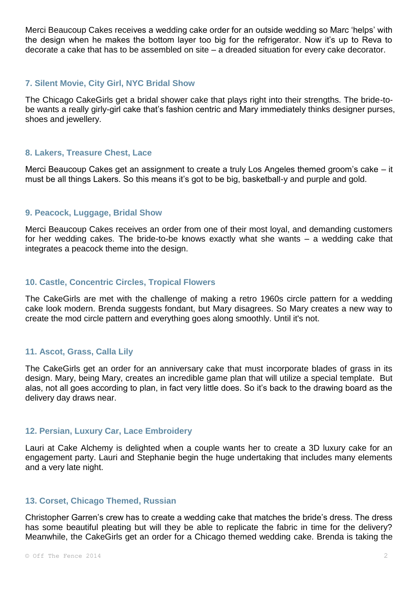Merci Beaucoup Cakes receives a wedding cake order for an outside wedding so Marc 'helps' with the design when he makes the bottom layer too big for the refrigerator. Now it's up to Reva to decorate a cake that has to be assembled on site – a dreaded situation for every cake decorator.

#### **7. Silent Movie, City Girl, NYC Bridal Show**

The Chicago CakeGirls get a bridal shower cake that plays right into their strengths. The bride-tobe wants a really girly-girl cake that's fashion centric and Mary immediately thinks designer purses, shoes and jewellery.

#### **8. Lakers, Treasure Chest, Lace**

Merci Beaucoup Cakes get an assignment to create a truly Los Angeles themed groom's cake – it must be all things Lakers. So this means it's got to be big, basketball-y and purple and gold.

# **9. Peacock, Luggage, Bridal Show**

Merci Beaucoup Cakes receives an order from one of their most loyal, and demanding customers for her wedding cakes. The bride-to-be knows exactly what she wants – a wedding cake that integrates a peacock theme into the design.

#### **10. Castle, Concentric Circles, Tropical Flowers**

The CakeGirls are met with the challenge of making a retro 1960s circle pattern for a wedding cake look modern. Brenda suggests fondant, but Mary disagrees. So Mary creates a new way to create the mod circle pattern and everything goes along smoothly. Until it's not.

#### **11. Ascot, Grass, Calla Lily**

The CakeGirls get an order for an anniversary cake that must incorporate blades of grass in its design. Mary, being Mary, creates an incredible game plan that will utilize a special template. But alas, not all goes according to plan, in fact very little does. So it's back to the drawing board as the delivery day draws near.

## **12. Persian, Luxury Car, Lace Embroidery**

Lauri at Cake Alchemy is delighted when a couple wants her to create a 3D luxury cake for an engagement party. Lauri and Stephanie begin the huge undertaking that includes many elements and a very late night.

#### **13. Corset, Chicago Themed, Russian**

Christopher Garren's crew has to create a wedding cake that matches the bride's dress. The dress has some beautiful pleating but will they be able to replicate the fabric in time for the delivery? Meanwhile, the CakeGirls get an order for a Chicago themed wedding cake. Brenda is taking the